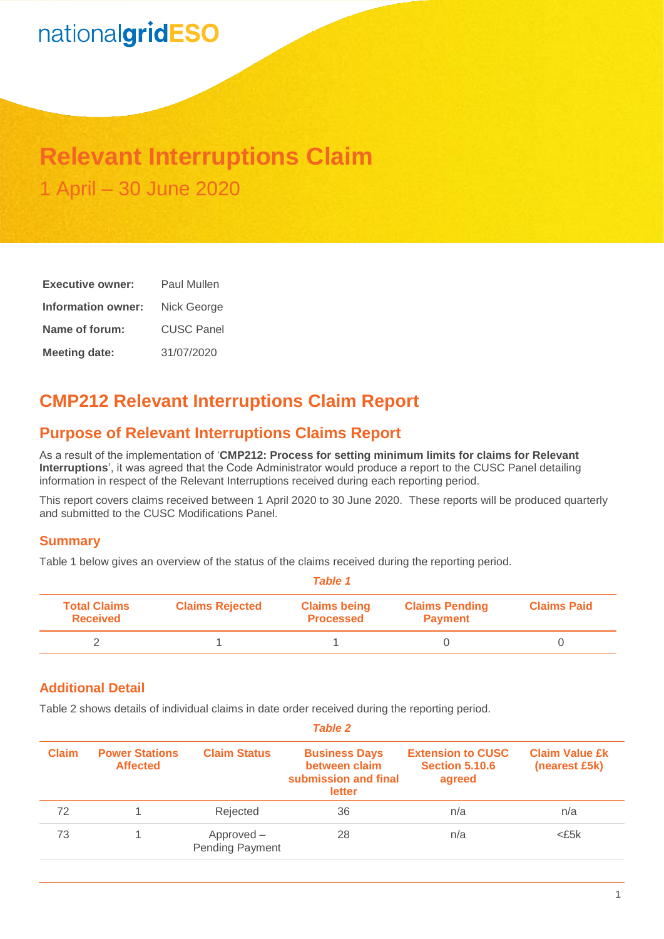# nationalgridESO

## **Relevant Interruptions Claim** 1 April – 30 June 2020

| <b>Executive owner:</b> | Paul Mullen       |
|-------------------------|-------------------|
| Information owner:      | Nick George       |
| Name of forum:          | <b>CUSC Panel</b> |
| <b>Meeting date:</b>    | 31/07/2020        |

## **CMP212 Relevant Interruptions Claim Report**

## **Purpose of Relevant Interruptions Claims Report**

As a result of the implementation of '**CMP212: Process for setting minimum limits for claims for Relevant Interruptions**', it was agreed that the Code Administrator would produce a report to the CUSC Panel detailing information in respect of the Relevant Interruptions received during each reporting period.

This report covers claims received between 1 April 2020 to 30 June 2020. These reports will be produced quarterly and submitted to the CUSC Modifications Panel.

#### **Summary**

Table 1 below gives an overview of the status of the claims received during the reporting period.

|                                        | <b>Table 1</b>         |                                         |                                         |                    |  |  |
|----------------------------------------|------------------------|-----------------------------------------|-----------------------------------------|--------------------|--|--|
| <b>Total Claims</b><br><b>Received</b> | <b>Claims Rejected</b> | <b>Claims being</b><br><b>Processed</b> | <b>Claims Pending</b><br><b>Payment</b> | <b>Claims Paid</b> |  |  |
|                                        |                        |                                         |                                         |                    |  |  |

### **Additional Detail**

Table 2 shows details of individual claims in date order received during the reporting period.

| <b>Table 2</b> |                                          |                                      |                                                                         |                                                             |                                        |
|----------------|------------------------------------------|--------------------------------------|-------------------------------------------------------------------------|-------------------------------------------------------------|----------------------------------------|
| <b>Claim</b>   | <b>Power Stations</b><br><b>Affected</b> | <b>Claim Status</b>                  | <b>Business Days</b><br>between claim<br>submission and final<br>letter | <b>Extension to CUSC</b><br><b>Section 5.10.6</b><br>agreed | <b>Claim Value £k</b><br>(nearest £5k) |
| 72             |                                          | Rejected                             | 36                                                                      | n/a                                                         | n/a                                    |
| 73             |                                          | Approved -<br><b>Pending Payment</b> | 28                                                                      | n/a                                                         | $<$ £5 $k$                             |